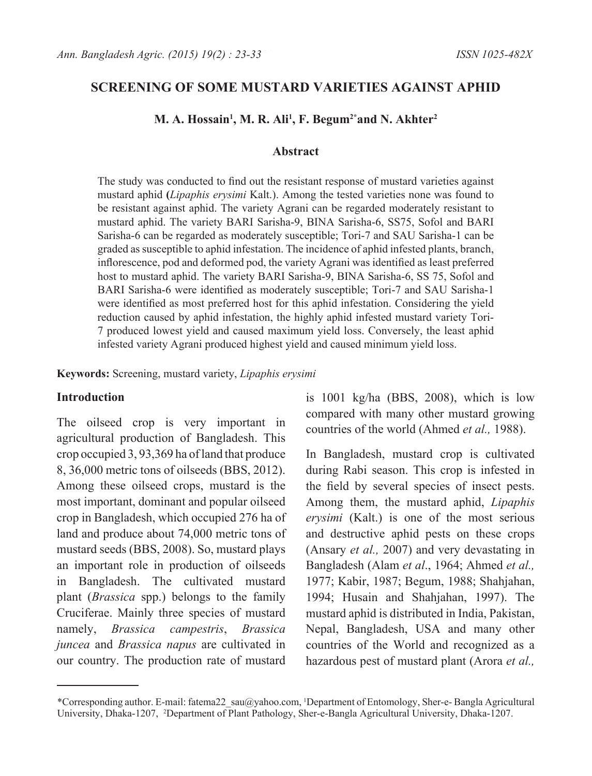## **SCREENING OF SOME MUSTARD VARIETIES AGAINST APHID**

#### **M. A. Hossain1 , M. R. Ali1 , F. Begum2\*and N. Akhter2**

### **Abstract**

The study was conducted to find out the resistant response of mustard varieties against mustard aphid **(***Lipaphis erysimi* Kalt.). Among the tested varieties none was found to be resistant against aphid. The variety Agrani can be regarded moderately resistant to mustard aphid. The variety BARI Sarisha-9, BINA Sarisha-6, SS75, Sofol and BARI Sarisha-6 can be regarded as moderately susceptible; Tori-7 and SAU Sarisha-1 can be graded as susceptible to aphid infestation. The incidence of aphid infested plants, branch, inflorescence, pod and deformed pod, the variety Agrani was identified as least preferred host to mustard aphid. The variety BARI Sarisha-9, BINA Sarisha-6, SS 75, Sofol and BARI Sarisha-6 were identified as moderately susceptible; Tori-7 and SAU Sarisha-1 were identified as most preferred host for this aphid infestation. Considering the yield reduction caused by aphid infestation, the highly aphid infested mustard variety Tori-7 produced lowest yield and caused maximum yield loss. Conversely, the least aphid infested variety Agrani produced highest yield and caused minimum yield loss.

**Keywords:** Screening, mustard variety, *Lipaphis erysimi*

#### **Introduction**

The oilseed crop is very important in agricultural production of Bangladesh. This crop occupied 3, 93,369 ha of land that produce 8, 36,000 metric tons of oilseeds (BBS, 2012). Among these oilseed crops, mustard is the most important, dominant and popular oilseed crop in Bangladesh, which occupied 276 ha of land and produce about 74,000 metric tons of mustard seeds (BBS, 2008). So, mustard plays an important role in production of oilseeds in Bangladesh. The cultivated mustard plant (*Brassica* spp.) belongs to the family Cruciferae. Mainly three species of mustard namely, *Brassica campestris*, *Brassica juncea* and *Brassica napus* are cultivated in our country. The production rate of mustard is 1001 kg/ha (BBS, 2008), which is low compared with many other mustard growing countries of the world (Ahmed *et al.,* 1988).

In Bangladesh, mustard crop is cultivated during Rabi season. This crop is infested in the field by several species of insect pests. Among them, the mustard aphid, *Lipaphis erysimi* (Kalt.) is one of the most serious and destructive aphid pests on these crops (Ansary *et al.,* 2007) and very devastating in Bangladesh (Alam *et al*., 1964; Ahmed *et al.,* 1977; Kabir, 1987; Begum, 1988; Shahjahan, 1994; Husain and Shahjahan, 1997). The mustard aphid is distributed in India, Pakistan, Nepal, Bangladesh, USA and many other countries of the World and recognized as a hazardous pest of mustard plant (Arora *et al.,*

<sup>\*</sup>Corresponding author. E-mail: fatema22\_sau@yahoo.com, 1 Department of Entomology, Sher-e- Bangla Agricultural University, Dhaka-1207, <sup>2</sup>Department of Plant Pathology, Sher-e-Bangla Agricultural University, Dhaka-1207.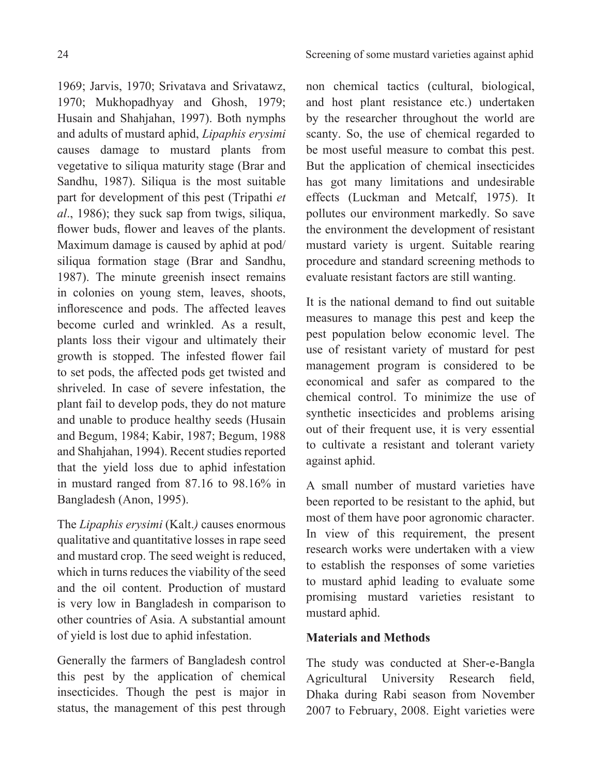1969; Jarvis, 1970; Srivatava and Srivatawz, 1970; Mukhopadhyay and Ghosh, 1979; Husain and Shahjahan, 1997). Both nymphs and adults of mustard aphid, *Lipaphis erysimi* causes damage to mustard plants from vegetative to siliqua maturity stage (Brar and Sandhu, 1987). Siliqua is the most suitable part for development of this pest (Tripathi *et al*., 1986); they suck sap from twigs, siliqua, flower buds, flower and leaves of the plants. Maximum damage is caused by aphid at pod/ siliqua formation stage (Brar and Sandhu, 1987). The minute greenish insect remains in colonies on young stem, leaves, shoots, inflorescence and pods. The affected leaves become curled and wrinkled. As a result, plants loss their vigour and ultimately their growth is stopped. The infested flower fail to set pods, the affected pods get twisted and shriveled. In case of severe infestation, the plant fail to develop pods, they do not mature and unable to produce healthy seeds (Husain and Begum, 1984; Kabir, 1987; Begum, 1988 and Shahjahan, 1994). Recent studies reported that the yield loss due to aphid infestation in mustard ranged from 87.16 to 98.16% in Bangladesh (Anon, 1995).

The *Lipaphis erysimi* (Kalt.*)* causes enormous qualitative and quantitative losses in rape seed and mustard crop. The seed weight is reduced, which in turns reduces the viability of the seed and the oil content. Production of mustard is very low in Bangladesh in comparison to other countries of Asia. A substantial amount of yield is lost due to aphid infestation.

Generally the farmers of Bangladesh control this pest by the application of chemical insecticides. Though the pest is major in status, the management of this pest through

non chemical tactics (cultural, biological, and host plant resistance etc.) undertaken by the researcher throughout the world are scanty. So, the use of chemical regarded to be most useful measure to combat this pest. But the application of chemical insecticides has got many limitations and undesirable effects (Luckman and Metcalf, 1975). It pollutes our environment markedly. So save the environment the development of resistant mustard variety is urgent. Suitable rearing procedure and standard screening methods to evaluate resistant factors are still wanting.

It is the national demand to find out suitable measures to manage this pest and keep the pest population below economic level. The use of resistant variety of mustard for pest management program is considered to be economical and safer as compared to the chemical control. To minimize the use of synthetic insecticides and problems arising out of their frequent use, it is very essential to cultivate a resistant and tolerant variety against aphid.

A small number of mustard varieties have been reported to be resistant to the aphid, but most of them have poor agronomic character. In view of this requirement, the present research works were undertaken with a view to establish the responses of some varieties to mustard aphid leading to evaluate some promising mustard varieties resistant to mustard aphid.

### **Materials and Methods**

The study was conducted at Sher-e-Bangla Agricultural University Research field, Dhaka during Rabi season from November 2007 to February, 2008. Eight varieties were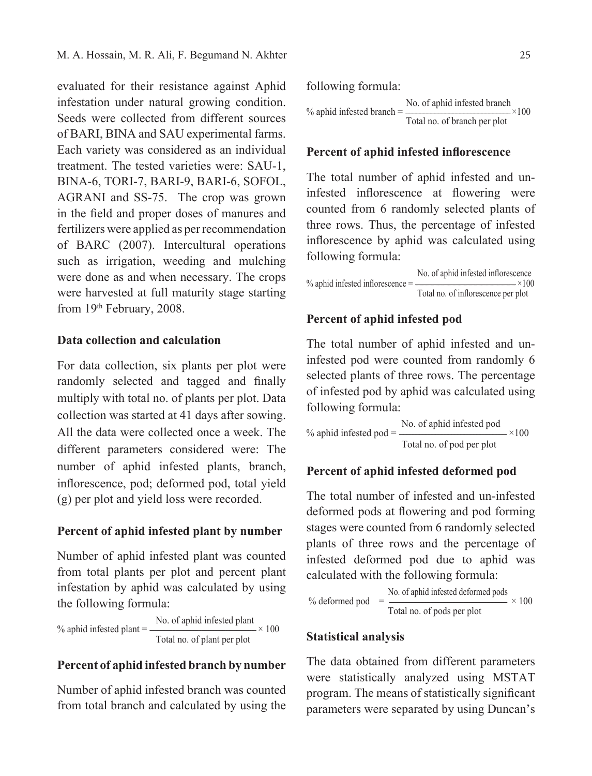evaluated for their resistance against Aphid infestation under natural growing condition. Seeds were collected from different sources of BARI, BINA and SAU experimental farms. Each variety was considered as an individual treatment. The tested varieties were: SAU-1, BINA-6, TORI-7, BARI-9, BARI-6, SOFOL, AGRANI and SS-75. The crop was grown in the field and proper doses of manures and fertilizers were applied as per recommendation of BARC (2007). Intercultural operations such as irrigation, weeding and mulching were done as and when necessary. The crops were harvested at full maturity stage starting from 19th February, 2008.

### **Data collection and calculation**

For data collection, six plants per plot were randomly selected and tagged and finally multiply with total no. of plants per plot. Data collection was started at 41 days after sowing. All the data were collected once a week. The different parameters considered were: The number of aphid infested plants, branch, inflorescence, pod; deformed pod, total yield (g) per plot and yield loss were recorded.

### **Percent of aphid infested plant by number**

Number of aphid infested plant was counted from total plants per plot and percent plant infestation by aphid was calculated by using the following formula:

% aphid infested plant  $=$   $\frac{\text{No. of aphid infected plant}}{\text{No. of aphid infected plant}}$   $\times$  100 Total no. of plant per plot

## **Percent of aphid infested branch by number**

Number of aphid infested branch was counted from total branch and calculated by using the

following formula:  
\n% aphid infested branch = 
$$
\frac{\text{No. of aphid infested branch}}{\text{Total no. of branch per plot}} \times 100
$$

#### **Percent of aphid infested inflorescence**

The total number of aphid infested and uninfested inflorescence at flowering were counted from 6 randomly selected plants of three rows. Thus, the percentage of infested inflorescence by aphid was calculated using following formula:

No. of aphid infested inflorescence<br> $\times 100$  $%$  aphid infested inflorescence =  $-$ Total no. of inflorescence per plot

#### **Percent of aphid infested pod**

The total number of aphid infested and uninfested pod were counted from randomly 6 selected plants of three rows. The percentage of infested pod by aphid was calculated using following formula:

% aphid infested pod  $=$   $\frac{\text{No. of aphid infected pod}}{\text{Non-fermions}} \times 100$ Total no. of pod per plot

### **Percent of aphid infested deformed pod**

The total number of infested and un-infested deformed pods at flowering and pod forming stages were counted from 6 randomly selected plants of three rows and the percentage of infested deformed pod due to aphid was calculated with the following formula:

% deformed pod = 
$$
\frac{\text{No. of aphid infested deformed pools}}{\text{Total no. of pools per plot}} \times 100
$$

#### **Statistical analysis**

The data obtained from different parameters were statistically analyzed using MSTAT program. The means of statistically significant parameters were separated by using Duncan's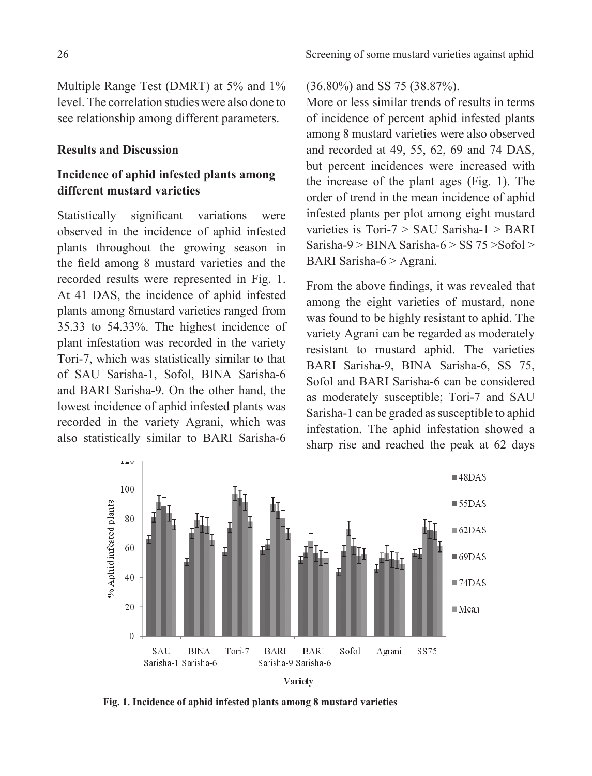Multiple Range Test (DMRT) at 5% and 1% level. The correlation studies were also done to see relationship among different parameters.

### **Results and Discussion**

# **Incidence of aphid infested plants among different mustard varieties**

Statistically significant variations were observed in the incidence of aphid infested plants throughout the growing season in the field among 8 mustard varieties and the recorded results were represented in Fig. 1. At 41 DAS, the incidence of aphid infested plants among 8mustard varieties ranged from 35.33 to 54.33%. The highest incidence of plant infestation was recorded in the variety Tori-7, which was statistically similar to that of SAU Sarisha-1, Sofol, BINA Sarisha-6 and BARI Sarisha-9. On the other hand, the lowest incidence of aphid infested plants was recorded in the variety Agrani, which was also statistically similar to BARI Sarisha-6

#### (36.80%) and SS 75 (38.87%).

More or less similar trends of results in terms of incidence of percent aphid infested plants among 8 mustard varieties were also observed and recorded at 49, 55, 62, 69 and 74 DAS, but percent incidences were increased with the increase of the plant ages (Fig. 1). The order of trend in the mean incidence of aphid infested plants per plot among eight mustard varieties is Tori-7 > SAU Sarisha-1 > BARI Sarisha-9 > BINA Sarisha-6 > SS  $75$  > Sofol > BARI Sarisha-6 > Agrani.

From the above findings, it was revealed that among the eight varieties of mustard, none was found to be highly resistant to aphid. The variety Agrani can be regarded as moderately resistant to mustard aphid. The varieties BARI Sarisha-9, BINA Sarisha-6, SS 75, Sofol and BARI Sarisha-6 can be considered as moderately susceptible; Tori-7 and SAU Sarisha-1 can be graded as susceptible to aphid infestation. The aphid infestation showed a sharp rise and reached the peak at 62 days



 **Fig. 1. Incidence of aphid infested plants among 8 mustard varieties**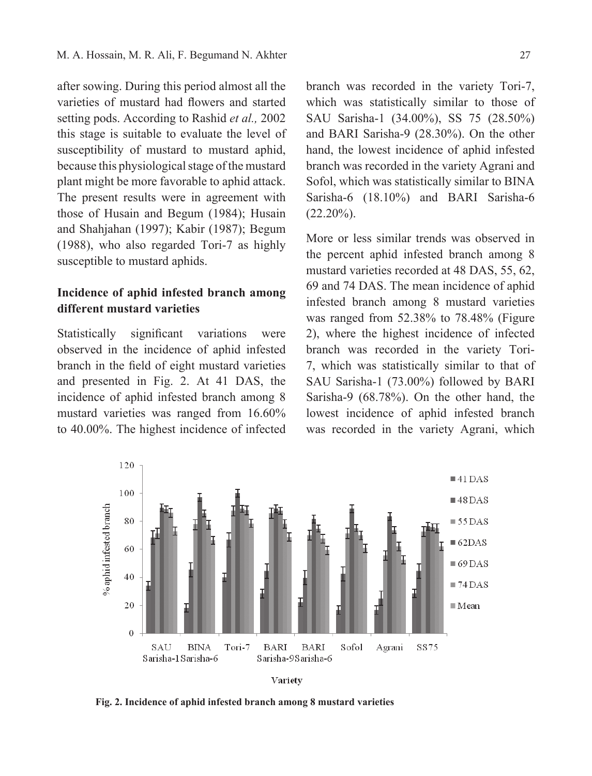after sowing. During this period almost all the varieties of mustard had flowers and started setting pods. According to Rashid *et al.,* 2002 this stage is suitable to evaluate the level of susceptibility of mustard to mustard aphid, because this physiological stage of the mustard plant might be more favorable to aphid attack. The present results were in agreement with those of Husain and Begum (1984); Husain and Shahjahan (1997); Kabir (1987); Begum (1988), who also regarded Tori-7 as highly susceptible to mustard aphids.

# **Incidence of aphid infested branch among different mustard varieties**

Statistically significant variations were observed in the incidence of aphid infested branch in the field of eight mustard varieties and presented in Fig. 2. At 41 DAS, the incidence of aphid infested branch among 8 mustard varieties was ranged from 16.60% to 40.00%. The highest incidence of infected branch was recorded in the variety Tori-7, which was statistically similar to those of SAU Sarisha-1 (34.00%), SS 75 (28.50%) and BARI Sarisha-9 (28.30%). On the other hand, the lowest incidence of aphid infested branch was recorded in the variety Agrani and Sofol, which was statistically similar to BINA Sarisha-6 (18.10%) and BARI Sarisha-6  $(22.20\%)$ .

More or less similar trends was observed in the percent aphid infested branch among 8 mustard varieties recorded at 48 DAS, 55, 62, 69 and 74 DAS. The mean incidence of aphid infested branch among 8 mustard varieties was ranged from 52.38% to 78.48% (Figure 2), where the highest incidence of infected branch was recorded in the variety Tori-7, which was statistically similar to that of SAU Sarisha-1 (73.00%) followed by BARI Sarisha-9 (68.78%). On the other hand, the lowest incidence of aphid infested branch was recorded in the variety Agrani, which





 **Fig. 2. Incidence of aphid infested branch among 8 mustard varieties**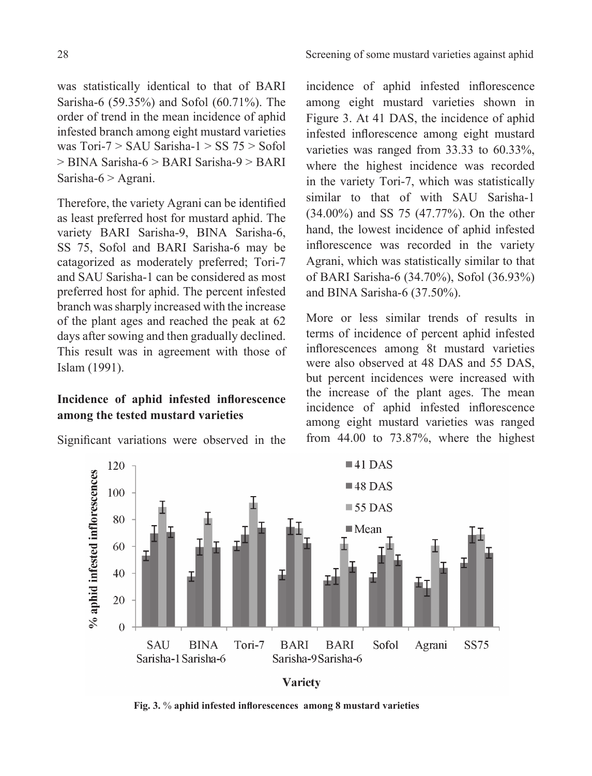was statistically identical to that of BARI Sarisha-6 (59.35%) and Sofol (60.71%). The order of trend in the mean incidence of aphid infested branch among eight mustard varieties was  $Tori-7 > SAU$  Sarisha- $1 > SS$  75  $>$  Sofol > BINA Sarisha-6 > BARI Sarisha-9 > BARI Sarisha-6 > Agrani.

Therefore, the variety Agrani can be identified as least preferred host for mustard aphid. The variety BARI Sarisha-9, BINA Sarisha-6, SS 75, Sofol and BARI Sarisha-6 may be catagorized as moderately preferred; Tori-7 and SAU Sarisha-1 can be considered as most preferred host for aphid. The percent infested branch was sharply increased with the increase of the plant ages and reached the peak at 62 days after sowing and then gradually declined. This result was in agreement with those of Islam (1991).

# **Incidence of aphid infested inflorescence among the tested mustard varieties**

Significant variations were observed in the

incidence of aphid infested inflorescence among eight mustard varieties shown in Figure 3. At 41 DAS, the incidence of aphid infested inflorescence among eight mustard varieties was ranged from 33.33 to 60.33%, where the highest incidence was recorded in the variety Tori-7, which was statistically similar to that of with SAU Sarisha-1 (34.00%) and SS 75 (47.77%). On the other hand, the lowest incidence of aphid infested inflorescence was recorded in the variety Agrani, which was statistically similar to that of BARI Sarisha-6 (34.70%), Sofol (36.93%) and BINA Sarisha-6 (37.50%).

More or less similar trends of results in terms of incidence of percent aphid infested inflorescences among 8t mustard varieties were also observed at 48 DAS and 55 DAS, but percent incidences were increased with the increase of the plant ages. The mean incidence of aphid infested inflorescence among eight mustard varieties was ranged from 44.00 to 73.87%, where the highest



**Variety** 

 **Fig. 3.** % **aphid infested inflorescences among 8 mustard varieties**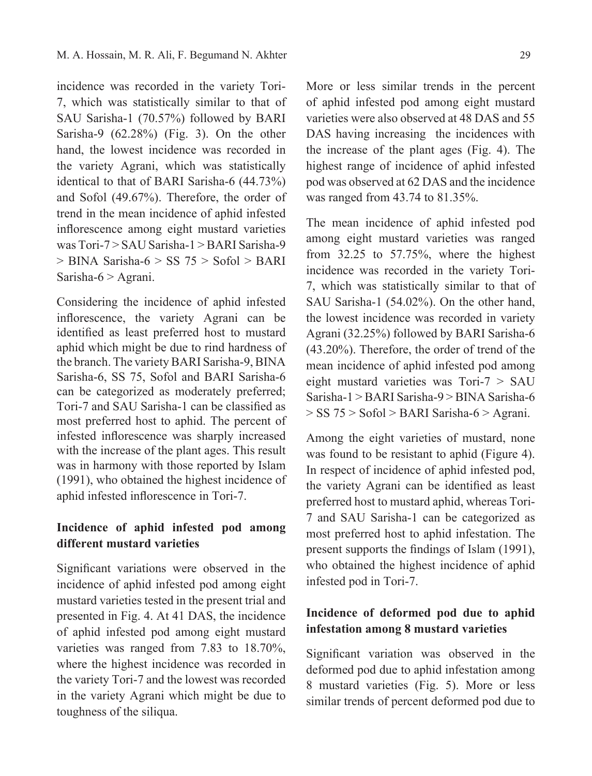incidence was recorded in the variety Tori-7, which was statistically similar to that of SAU Sarisha-1 (70.57%) followed by BARI Sarisha-9 (62.28%) (Fig. 3). On the other hand, the lowest incidence was recorded in the variety Agrani, which was statistically identical to that of BARI Sarisha-6 (44.73%) and Sofol (49.67%). Therefore, the order of trend in the mean incidence of aphid infested inflorescence among eight mustard varieties was Tori-7 > SAU Sarisha-1 > BARI Sarisha-9  $>$  BINA Sarisha-6  $>$  SS 75  $>$  Sofol  $>$  BARI Sarisha-6 > Agrani.

Considering the incidence of aphid infested inflorescence, the variety Agrani can be identified as least preferred host to mustard aphid which might be due to rind hardness of the branch. The variety BARI Sarisha-9, BINA Sarisha-6, SS 75, Sofol and BARI Sarisha-6 can be categorized as moderately preferred; Tori-7 and SAU Sarisha-1 can be classified as most preferred host to aphid. The percent of infested inflorescence was sharply increased with the increase of the plant ages. This result was in harmony with those reported by Islam (1991), who obtained the highest incidence of aphid infested inflorescence in Tori-7.

# **Incidence of aphid infested pod among different mustard varieties**

Significant variations were observed in the incidence of aphid infested pod among eight mustard varieties tested in the present trial and presented in Fig. 4. At 41 DAS, the incidence of aphid infested pod among eight mustard varieties was ranged from 7.83 to 18.70%, where the highest incidence was recorded in the variety Tori-7 and the lowest was recorded in the variety Agrani which might be due to toughness of the siliqua.

More or less similar trends in the percent of aphid infested pod among eight mustard varieties were also observed at 48 DAS and 55 DAS having increasing the incidences with the increase of the plant ages (Fig. 4). The highest range of incidence of aphid infested pod was observed at 62 DAS and the incidence was ranged from 43.74 to 81.35%.

The mean incidence of aphid infested pod among eight mustard varieties was ranged from 32.25 to 57.75%, where the highest incidence was recorded in the variety Tori-7, which was statistically similar to that of SAU Sarisha-1 (54.02%). On the other hand, the lowest incidence was recorded in variety Agrani (32.25%) followed by BARI Sarisha-6 (43.20%). Therefore, the order of trend of the mean incidence of aphid infested pod among eight mustard varieties was Tori-7 > SAU Sarisha-1 > BARI Sarisha-9 > BINA Sarisha-6 > SS 75 > Sofol > BARI Sarisha-6 > Agrani.

Among the eight varieties of mustard, none was found to be resistant to aphid (Figure 4). In respect of incidence of aphid infested pod, the variety Agrani can be identified as least preferred host to mustard aphid, whereas Tori-7 and SAU Sarisha-1 can be categorized as most preferred host to aphid infestation. The present supports the findings of Islam (1991), who obtained the highest incidence of aphid infested pod in Tori-7.

## **Incidence of deformed pod due to aphid infestation among 8 mustard varieties**

Significant variation was observed in the deformed pod due to aphid infestation among 8 mustard varieties (Fig. 5). More or less similar trends of percent deformed pod due to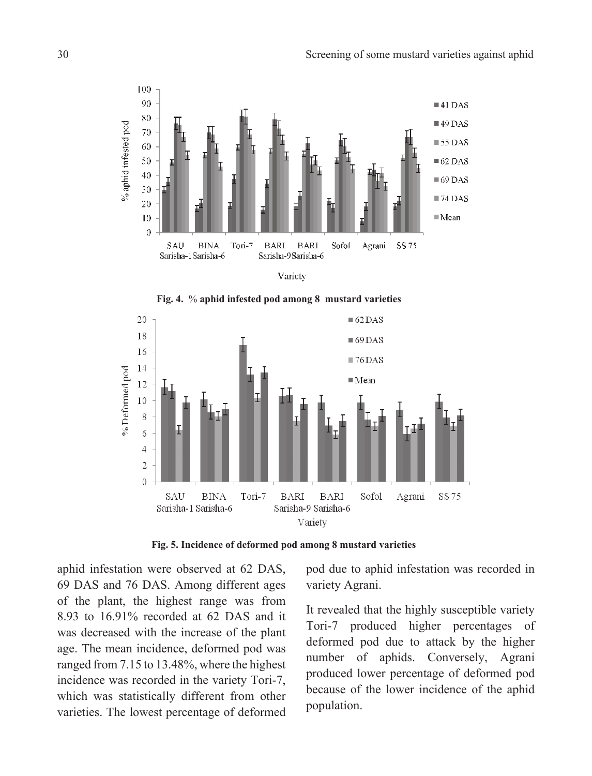







 **Fig. 5. Incidence of deformed pod among 8 mustard varieties**

aphid infestation were observed at 62 DAS, 69 DAS and 76 DAS. Among different ages of the plant, the highest range was from 8.93 to 16.91% recorded at 62 DAS and it was decreased with the increase of the plant age. The mean incidence, deformed pod was ranged from 7.15 to 13.48%, where the highest incidence was recorded in the variety Tori-7, which was statistically different from other varieties. The lowest percentage of deformed pod due to aphid infestation was recorded in variety Agrani.

It revealed that the highly susceptible variety Tori-7 produced higher percentages of deformed pod due to attack by the higher number of aphids. Conversely, Agrani produced lower percentage of deformed pod because of the lower incidence of the aphid population.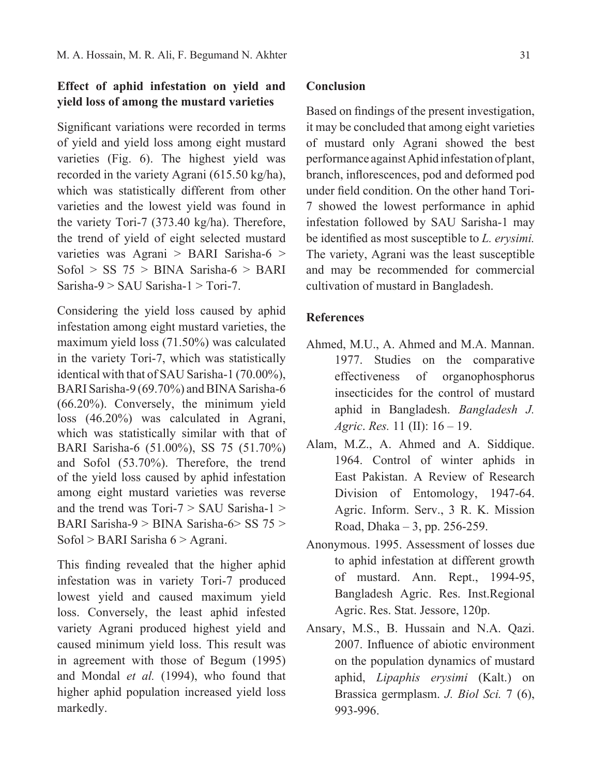# **Effect of aphid infestation on yield and yield loss of among the mustard varieties**

Significant variations were recorded in terms of yield and yield loss among eight mustard varieties (Fig. 6). The highest yield was recorded in the variety Agrani (615.50 kg/ha), which was statistically different from other varieties and the lowest yield was found in the variety Tori-7 (373.40 kg/ha). Therefore, the trend of yield of eight selected mustard varieties was Agrani > BARI Sarisha-6 > Sofol > SS  $75 > BINA$  Sarisha-6 > BARI Sarisha-9 > SAU Sarisha-1 > Tori-7.

Considering the yield loss caused by aphid infestation among eight mustard varieties, the maximum yield loss (71.50%) was calculated in the variety Tori-7, which was statistically identical with that of SAU Sarisha-1 (70.00%), BARI Sarisha-9 (69.70%) and BINA Sarisha-6 (66.20%). Conversely, the minimum yield loss (46.20%) was calculated in Agrani, which was statistically similar with that of BARI Sarisha-6 (51.00%), SS 75 (51.70%) and Sofol (53.70%). Therefore, the trend of the yield loss caused by aphid infestation among eight mustard varieties was reverse and the trend was  $Tori-7 > SAU$  Sarisha-1  $>$ BARI Sarisha-9 > BINA Sarisha-6> SS 75 > Sofol > BARI Sarisha 6 > Agrani.

This finding revealed that the higher aphid infestation was in variety Tori-7 produced lowest yield and caused maximum yield loss. Conversely, the least aphid infested variety Agrani produced highest yield and caused minimum yield loss. This result was in agreement with those of Begum (1995) and Mondal *et al.* (1994), who found that higher aphid population increased yield loss markedly.

## **Conclusion**

Based on findings of the present investigation, it may be concluded that among eight varieties of mustard only Agrani showed the best performance against Aphid infestation of plant, branch, inflorescences, pod and deformed pod under field condition. On the other hand Tori-7 showed the lowest performance in aphid infestation followed by SAU Sarisha-1 may be identified as most susceptible to *L. erysimi.*  The variety, Agrani was the least susceptible and may be recommended for commercial cultivation of mustard in Bangladesh.

## **References**

- Ahmed, M.U., A. Ahmed and M.A. Mannan. 1977. Studies on the comparative effectiveness of organophosphorus insecticides for the control of mustard aphid in Bangladesh. *Bangladesh J. Agric*. *Res.* 11 (II): 16 – 19.
- Alam, M.Z., A. Ahmed and A. Siddique. 1964. Control of winter aphids in East Pakistan. A Review of Research Division of Entomology, 1947-64. Agric. Inform. Serv., 3 R. K. Mission Road, Dhaka – 3, pp. 256-259.
- Anonymous. 1995. Assessment of losses due to aphid infestation at different growth of mustard. Ann. Rept., 1994-95, Bangladesh Agric. Res. Inst.Regional Agric. Res. Stat. Jessore, 120p.
- Ansary, M.S., B. Hussain and N.A. Qazi. 2007. Influence of abiotic environment on the population dynamics of mustard aphid, *Lipaphis erysimi* (Kalt.) on Brassica germplasm. *J. Biol Sci.* 7 (6), 993-996.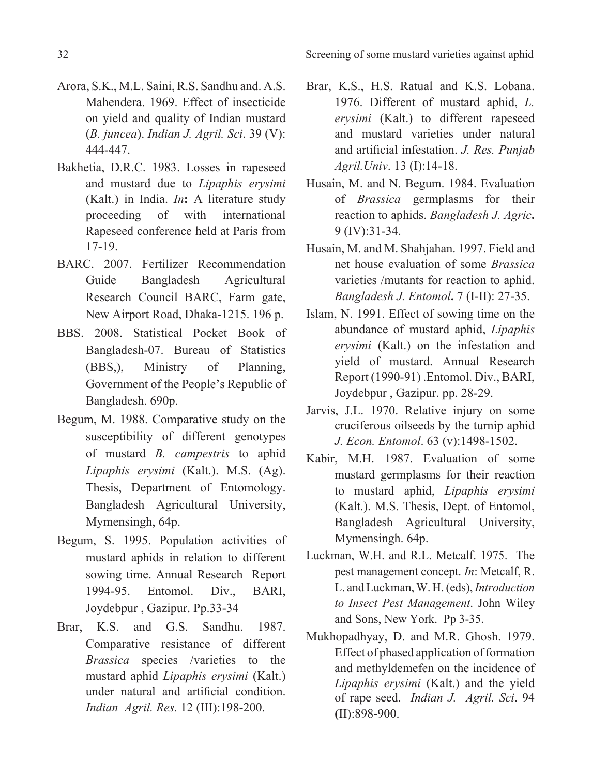32 Screening of some mustard varieties against aphid

- Arora, S.K., M.L. Saini, R.S. Sandhu and. A.S. Mahendera. 1969. Effect of insecticide on yield and quality of Indian mustard (*B. juncea*). *Indian J. Agril. Sci*. 39 (V): 444-447.
- Bakhetia, D.R.C. 1983. Losses in rapeseed and mustard due to *Lipaphis erysimi* (Kalt.) in India. *In***:** A literature study proceeding of with international Rapeseed conference held at Paris from 17-19.
- BARC. 2007. Fertilizer Recommendation Guide Bangladesh Agricultural Research Council BARC, Farm gate, New Airport Road, Dhaka-1215. 196 p.
- BBS. 2008. Statistical Pocket Book of Bangladesh-07. Bureau of Statistics (BBS,), Ministry of Planning, Government of the People's Republic of Bangladesh. 690p.
- Begum, M. 1988. Comparative study on the susceptibility of different genotypes of mustard *B. campestris* to aphid *Lipaphis erysimi* (Kalt.). M.S. (Ag). Thesis, Department of Entomology. Bangladesh Agricultural University, Mymensingh, 64p.
- Begum, S. 1995. Population activities of mustard aphids in relation to different sowing time. Annual Research Report 1994-95. Entomol. Div., BARI, Joydebpur , Gazipur. Pp.33-34
- Brar, K.S. and G.S. Sandhu. 1987. Comparative resistance of different *Brassica* species /varieties to the mustard aphid *Lipaphis erysimi* (Kalt.) under natural and artificial condition. *Indian Agril. Res.* 12 (III):198-200.
- Brar, K.S., H.S. Ratual and K.S. Lobana. 1976. Different of mustard aphid, *L. erysimi* (Kalt.) to different rapeseed and mustard varieties under natural and artificial infestation. *J. Res. Punjab Agril.Univ*. 13 (I):14-18.
- Husain, M. and N. Begum. 1984. Evaluation of *Brassica* germplasms for their reaction to aphids. *Bangladesh J. Agric***.**  9 (IV):31-34.
- Husain, M. and M. Shahjahan. 1997. Field and net house evaluation of some *Brassica* varieties /mutants for reaction to aphid. *Bangladesh J. Entomol***.** 7 (I-II): 27-35.
- Islam, N. 1991. Effect of sowing time on the abundance of mustard aphid, *Lipaphis erysimi* (Kalt.) on the infestation and yield of mustard. Annual Research Report (1990-91) .Entomol. Div., BARI, Joydebpur , Gazipur. pp. 28-29.
- Jarvis, J.L. 1970. Relative injury on some cruciferous oilseeds by the turnip aphid *J. Econ. Entomol*. 63 (v):1498-1502.
- Kabir, M.H. 1987. Evaluation of some mustard germplasms for their reaction to mustard aphid, *Lipaphis erysimi* (Kalt.). M.S. Thesis, Dept. of Entomol, Bangladesh Agricultural University, Mymensingh. 64p.
- Luckman, W.H. and R.L. Metcalf. 1975. The pest management concept. *In*: Metcalf, R. L. and Luckman, W. H. (eds), *Introduction to Insect Pest Management*. John Wiley and Sons, New York. Pp 3-35.
- Mukhopadhyay, D. and M.R. Ghosh. 1979. Effect of phased application of formation and methyldemefen on the incidence of *Lipaphis erysimi* (Kalt.) and the yield of rape seed. *Indian J. Agril. Sci*. 94 **(**II):898-900.